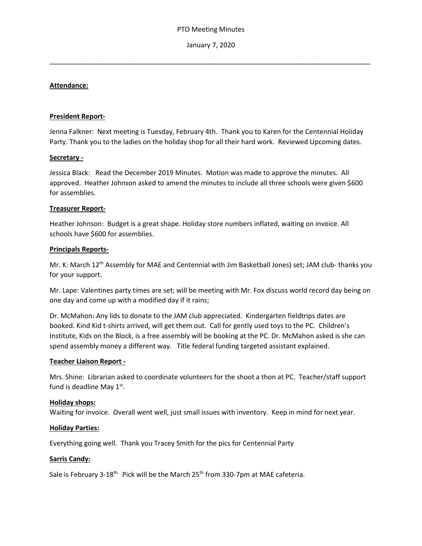January 7, 2020

\_\_\_\_\_\_\_\_\_\_\_\_\_\_\_\_\_\_\_\_\_\_\_\_\_\_\_\_\_\_\_\_\_\_\_\_\_\_\_\_\_\_\_\_\_\_\_\_\_\_\_\_\_\_\_\_\_\_\_\_\_\_\_\_\_\_\_\_\_\_\_\_\_\_\_\_\_\_\_\_\_\_\_\_\_

### **Attendance:**

#### **President Report-**

Jenna Falkner: Next meeting is Tuesday, February 4th. Thank you to Karen for the Centennial Holiday Party. Thank you to the ladies on the holiday shop for all their hard work. Reviewed Upcoming dates.

### **Secretary -**

Jessica Black: Read the December 2019 Minutes. Motion was made to approve the minutes. All approved. Heather Johnson asked to amend the minutes to include all three schools were given \$600 for assemblies.

## **Treasurer Report-**

Heather Johnson: Budget is a great shape. Holiday store numbers inflated, waiting on invoice. All schools have \$600 for assemblies.

### **Principals Reports-**

Mr. K: March 12<sup>th</sup> Assembly for MAE and Centennial with Jim Basketball Jones) set; JAM club- thanks you for your support.

Mr. Lape: Valentines party times are set; will be meeting with Mr. Fox discuss world record day being on one day and come up with a modified day if it rains;

Dr. McMahon: Any lids to donate to the JAM club appreciated. Kindergarten fieldtrips dates are booked. Kind Kid t-shirts arrived, will get them out. Call for gently used toys to the PC. Children's Institute, Kids on the Block, is a free assembly will be booking at the PC. Dr. McMahon asked is she can spend assembly money a different way. Title federal funding targeted assistant explained.

#### **Teacher Liaison Report -**

Mrs. Shine: Librarian asked to coordinate volunteers for the shoot a thon at PC. Teacher/staff support fund is deadline May  $1<sup>st</sup>$ .

## **Holiday shops:**

Waiting for invoice. Overall went well, just small issues with inventory. Keep in mind for next year.

#### **Holiday Parties:**

Everything going well. Thank you Tracey Smith for the pics for Centennial Party

## **Sarris Candy:**

Sale is February 3-18<sup>th.</sup> Pick will be the March 25<sup>th</sup> from 330-7pm at MAE cafeteria.